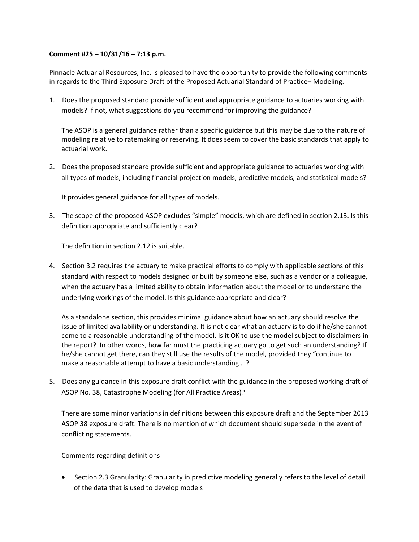## **Comment #25 – 10/31/16 – 7:13 p.m.**

Pinnacle Actuarial Resources, Inc. is pleased to have the opportunity to provide the following comments in regards to the Third Exposure Draft of the Proposed Actuarial Standard of Practice– Modeling.

1. Does the proposed standard provide sufficient and appropriate guidance to actuaries working with models? If not, what suggestions do you recommend for improving the guidance?

The ASOP is a general guidance rather than a specific guidance but this may be due to the nature of modeling relative to ratemaking or reserving. It does seem to cover the basic standards that apply to actuarial work.

2. Does the proposed standard provide sufficient and appropriate guidance to actuaries working with all types of models, including financial projection models, predictive models, and statistical models?

It provides general guidance for all types of models.

3. The scope of the proposed ASOP excludes "simple" models, which are defined in section 2.13. Is this definition appropriate and sufficiently clear?

The definition in section 2.12 is suitable.

4. Section 3.2 requires the actuary to make practical efforts to comply with applicable sections of this standard with respect to models designed or built by someone else, such as a vendor or a colleague, when the actuary has a limited ability to obtain information about the model or to understand the underlying workings of the model. Is this guidance appropriate and clear?

As a standalone section, this provides minimal guidance about how an actuary should resolve the issue of limited availability or understanding. It is not clear what an actuary is to do if he/she cannot come to a reasonable understanding of the model. Is it OK to use the model subject to disclaimers in the report? In other words, how far must the practicing actuary go to get such an understanding? If he/she cannot get there, can they still use the results of the model, provided they "continue to make a reasonable attempt to have a basic understanding …?

5. Does any guidance in this exposure draft conflict with the guidance in the proposed working draft of ASOP No. 38, Catastrophe Modeling (for All Practice Areas)?

There are some minor variations in definitions between this exposure draft and the September 2013 ASOP 38 exposure draft. There is no mention of which document should supersede in the event of conflicting statements.

## Comments regarding definitions

 Section 2.3 Granularity: Granularity in predictive modeling generally refers to the level of detail of the data that is used to develop models